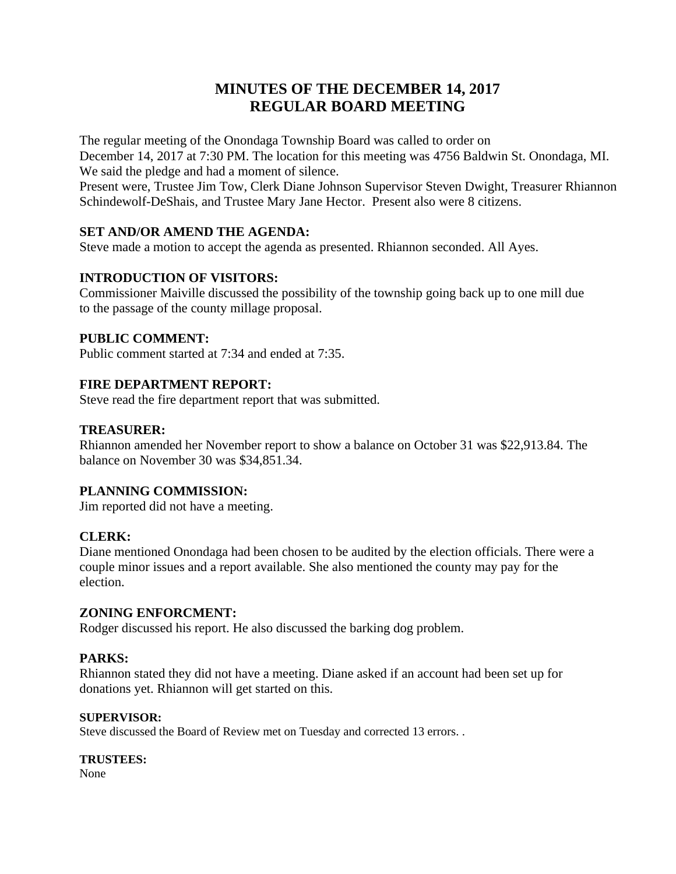# **MINUTES OF THE DECEMBER 14, 2017 REGULAR BOARD MEETING**

The regular meeting of the Onondaga Township Board was called to order on

December 14, 2017 at 7:30 PM. The location for this meeting was 4756 Baldwin St. Onondaga, MI. We said the pledge and had a moment of silence.

Present were, Trustee Jim Tow, Clerk Diane Johnson Supervisor Steven Dwight, Treasurer Rhiannon Schindewolf-DeShais, and Trustee Mary Jane Hector. Present also were 8 citizens.

### **SET AND/OR AMEND THE AGENDA:**

Steve made a motion to accept the agenda as presented. Rhiannon seconded. All Ayes.

### **INTRODUCTION OF VISITORS:**

Commissioner Maiville discussed the possibility of the township going back up to one mill due to the passage of the county millage proposal.

### **PUBLIC COMMENT:**

Public comment started at 7:34 and ended at 7:35.

### **FIRE DEPARTMENT REPORT:**

Steve read the fire department report that was submitted.

#### **TREASURER:**

Rhiannon amended her November report to show a balance on October 31 was \$22,913.84. The balance on November 30 was \$34,851.34.

### **PLANNING COMMISSION:**

Jim reported did not have a meeting.

### **CLERK:**

Diane mentioned Onondaga had been chosen to be audited by the election officials. There were a couple minor issues and a report available. She also mentioned the county may pay for the election.

### **ZONING ENFORCMENT:**

Rodger discussed his report. He also discussed the barking dog problem.

## **PARKS:**

Rhiannon stated they did not have a meeting. Diane asked if an account had been set up for donations yet. Rhiannon will get started on this.

### **SUPERVISOR:**

Steve discussed the Board of Review met on Tuesday and corrected 13 errors. .

### **TRUSTEES:**

None